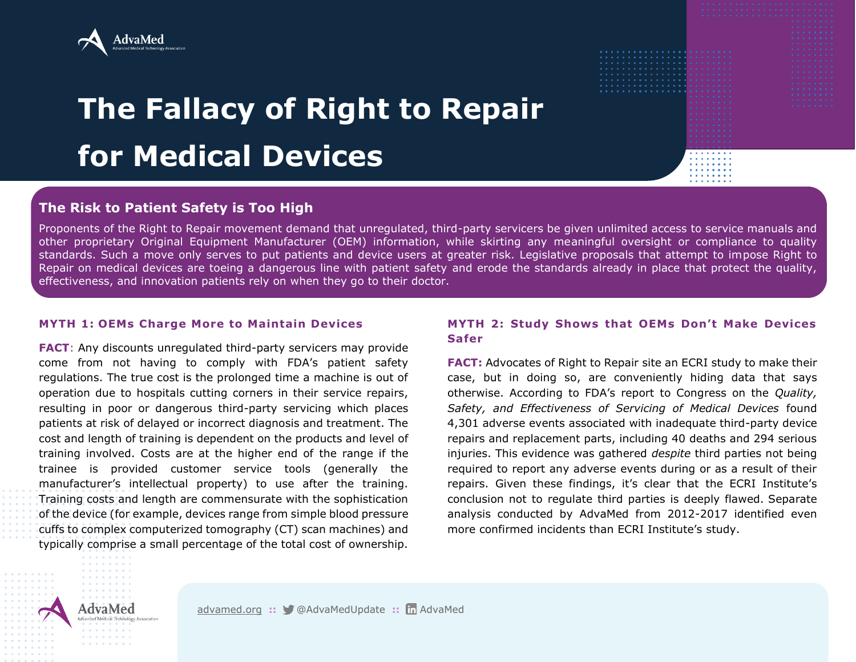

# **The Fallacy of Right to Repair for Medical Devices**

## **The Risk to Patient Safety is Too High**

Proponents of the Right to Repair movement demand that unregulated, third-party servicers be given unlimited access to service manuals and other proprietary Original Equipment Manufacturer (OEM) information, while skirting any meaningful oversight or compliance to quality standards. Such a move only serves to put patients and device users at greater risk. Legislative proposals that attempt to impose Right to Repair on medical devices are toeing a dangerous line with patient safety and erode the standards already in place that protect the quality, effectiveness, and innovation patients rely on when they go to their doctor.

#### **MYTH 1: OEMs Charge More to Maintain Devices**

**FACT**: Any discounts unregulated third-party servicers may provide come from not having to comply with FDA's patient safety regulations. The true cost is the prolonged time a machine is out of operation due to hospitals cutting corners in their service repairs, resulting in poor or dangerous third-party servicing which places patients at risk of delayed or incorrect diagnosis and treatment. The cost and length of training is dependent on the products and level of training involved. Costs are at the higher end of the range if the trainee is provided customer service tools (generally the manufacturer's intellectual property) to use after the training. Training costs and length are commensurate with the sophistication of the device (for example, devices range from simple blood pressure cuffs to complex computerized tomography (CT) scan machines) and typically comprise a small percentage of the total cost of ownership.

### **MYTH 2: Study Shows that OEMs Don't Make Devices Safer**

**FACT:** Advocates of Right to Repair site an ECRI study to make their case, but in doing so, are conveniently hiding data that says otherwise. According to FDA's report to Congress on the *Quality, Safety, and Effectiveness of Servicing of Medical Devices* found 4,301 adverse events associated with inadequate third-party device repairs and replacement parts, including 40 deaths and 294 serious injuries. This evidence was gathered *despite* third parties not being required to report any adverse events during or as a result of their repairs. Given these findings, it's clear that the ECRI Institute's conclusion not to regulate third parties is deeply flawed. Separate analysis conducted by AdvaMed from 2012-2017 identified even more confirmed incidents than ECRI Institute's study.